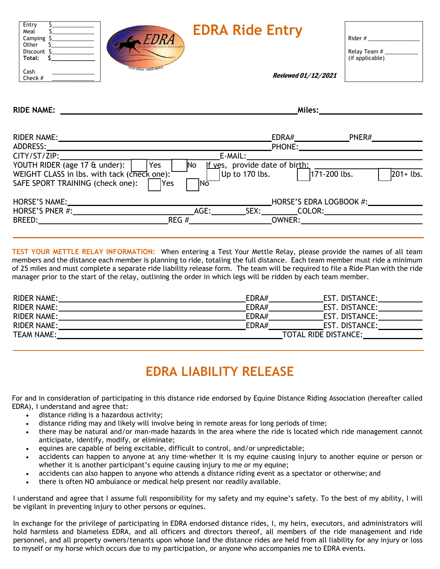| Entry<br>Meal<br>Camping    | FDRA                              | <b>EDRA Ride Entry</b> | Rider #                         |
|-----------------------------|-----------------------------------|------------------------|---------------------------------|
| Other<br>Discount<br>Total: | <b>DISTANCE RIDING ASSOCIATIO</b> |                        | Relay Team #<br>(if applicable) |
| Cash<br>Check $#$           | <b>START READY - FINISH PROUD</b> | Reviewed 01/12/2021    |                                 |
|                             |                                   |                        |                                 |

**RIDE NAME:** 

**Miles:**

| <b>RIDER NAME:</b><br>ADDRESS:                                                                |               | EDRA#<br><b>PHONE:</b>         |                         | PNER#        |
|-----------------------------------------------------------------------------------------------|---------------|--------------------------------|-------------------------|--------------|
| CITY/ST/ZIP:<br>YOUTH RIDER (age 17 & under):<br>Yes                                          | E-MAIL:<br>No | If yes, provide date of birth: |                         |              |
| WEIGHT CLASS in lbs. with tack (check one):<br>SAFE SPORT TRAINING (check one):<br><b>Yes</b> | lNō           | Up to 170 lbs.                 | 171-200 lbs.            | $201 +$ lbs. |
| HORSE'S NAME:                                                                                 |               |                                | HORSE'S EDRA LOGBOOK #: |              |
| HORSE'S PNER #:                                                                               | AGE:          | SEX:                           | COLOR:                  |              |
| <b>BREED:</b>                                                                                 | REG #         | <b>OWNER:</b>                  |                         |              |

**TEST YOUR METTLE RELAY INFORMATION:** When entering a Test Your Mettle Relay, please provide the names of all team members and the distance each member is planning to ride, totaling the full distance. Each team member must ride a minimum of 25 miles and must complete a separate ride liability release form. The team will be required to file a Ride Plan with the ride manager prior to the start of the relay, outlining the order in which legs will be ridden by each team member.

| <b>RIDER NAME:</b> | EDRA# | EST. DISTANCE:       |
|--------------------|-------|----------------------|
| <b>RIDER NAME:</b> | EDRA# | EST. DISTANCE:       |
| <b>RIDER NAME:</b> | EDRA# | EST. DISTANCE:       |
| <b>RIDER NAME:</b> | EDRA# | EST. DISTANCE:       |
| <b>TEAM NAME:</b>  |       | TOTAL RIDE DISTANCE: |

## **EDRA LIABILITY RELEASE**

For and in consideration of participating in this distance ride endorsed by Equine Distance Riding Association (hereafter called EDRA), I understand and agree that:

- distance riding is a hazardous activity;
- distance riding may and likely will involve being in remote areas for long periods of time;
- there may be natural and/or man-made hazards in the area where the ride is located which ride management cannot anticipate, identify, modify, or eliminate;
- equines are capable of being excitable, difficult to control, and/or unpredictable;
- accidents can happen to anyone at any time–whether it is my equine causing injury to another equine or person or whether it is another participant's equine causing injury to me or my equine;
- accidents can also happen to anyone who attends a distance riding event as a spectator or otherwise; and
- there is often NO ambulance or medical help present nor readily available.

I understand and agree that I assume full responsibility for my safety and my equine's safety. To the best of my ability, I will be vigilant in preventing injury to other persons or equines.

In exchange for the privilege of participating in EDRA endorsed distance rides, I, my heirs, executors, and administrators will hold harmless and blameless EDRA, and all officers and directors thereof, all members of the ride management and ride personnel, and all property owners/tenants upon whose land the distance rides are held from all liability for any injury or loss to myself or my horse which occurs due to my participation, or anyone who accompanies me to EDRA events.